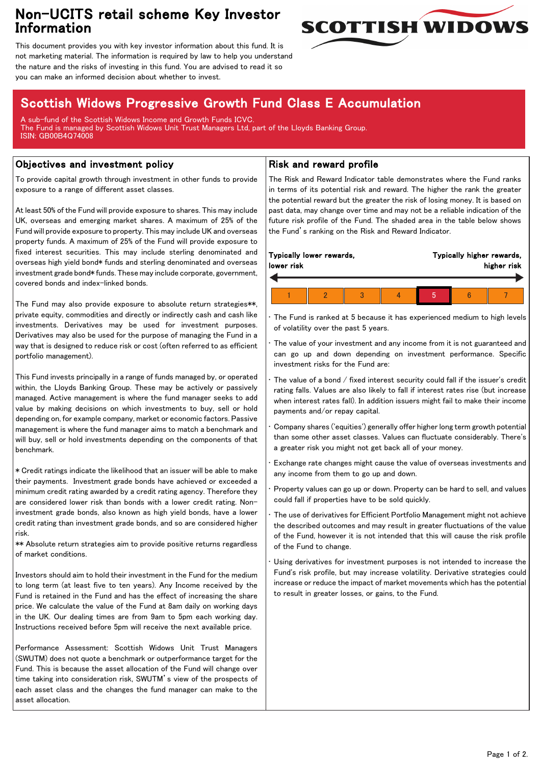## Non-UCITS retail scheme Key Investor Information



This document provides you with key investor information about this fund. It is not marketing material. The information is required by law to help you understand the nature and the risks of investing in this fund. You are advised to read it so you can make an informed decision about whether to invest.

# Scottish Widows Progressive Growth Fund Class E Accumulation

A sub-fund of the Scottish Widows Income and Growth Funds ICVC. The Fund is managed by Scottish Widows Unit Trust Managers Ltd, part of the Lloyds Banking Group. ISIN: GB00B4Q74008

### Objectives and investment policy

To provide capital growth through investment in other funds to provide exposure to a range of different asset classes.

At least 50% of the Fund will provide exposure to shares. This may include UK, overseas and emerging market shares. A maximum of 25% of the Fund will provide exposure to property. This may include UK and overseas property funds. A maximum of 25% of the Fund will provide exposure to fixed interest securities. This may include sterling denominated and overseas high yield bond\* funds and sterling denominated and overseas investment grade bond\* funds. These may include corporate, government, covered bonds and index-linked bonds.

The Fund may also provide exposure to absolute return strategies\*\*, private equity, commodities and directly or indirectly cash and cash like investments. Derivatives may be used for investment purposes. Derivatives may also be used for the purpose of managing the Fund in a way that is designed to reduce risk or cost (often referred to as efficient portfolio management).

This Fund invests principally in a range of funds managed by, or operated within, the Lloyds Banking Group. These may be actively or passively managed. Active management is where the fund manager seeks to add value by making decisions on which investments to buy, sell or hold depending on, for example company, market or economic factors. Passive management is where the fund manager aims to match a benchmark and will buy, sell or hold investments depending on the components of that benchmark.

\* Credit ratings indicate the likelihood that an issuer will be able to make their payments. Investment grade bonds have achieved or exceeded a minimum credit rating awarded by a credit rating agency. Therefore they are considered lower risk than bonds with a lower credit rating. Noninvestment grade bonds, also known as high yield bonds, have a lower credit rating than investment grade bonds, and so are considered higher risk.

\*\* Absolute return strategies aim to provide positive returns regardless of market conditions.

Investors should aim to hold their investment in the Fund for the medium to long term (at least five to ten years). Any Income received by the Fund is retained in the Fund and has the effect of increasing the share price. We calculate the value of the Fund at 8am daily on working days in the UK. Our dealing times are from 9am to 5pm each working day. Instructions received before 5pm will receive the next available price.

Performance Assessment: Scottish Widows Unit Trust Managers (SWUTM) does not quote a benchmark or outperformance target for the Fund. This is because the asset allocation of the Fund will change over time taking into consideration risk, SWUTM's view of the prospects of each asset class and the changes the fund manager can make to the asset allocation.

### Risk and reward profile

The Risk and Reward Indicator table demonstrates where the Fund ranks in terms of its potential risk and reward. The higher the rank the greater the potential reward but the greater the risk of losing money. It is based on past data, may change over time and may not be a reliable indication of the future risk profile of the Fund. The shaded area in the table below shows the Fund's ranking on the Risk and Reward Indicator.

| lower risk | Typically lower rewards, |  | Typically higher rewards, | higher risk |  |
|------------|--------------------------|--|---------------------------|-------------|--|
|            |                          |  |                           |             |  |
|            |                          |  |                           |             |  |

The Fund is ranked at 5 because it has experienced medium to high levels of volatility over the past 5 years.

The value of your investment and any income from it is not guaranteed and can go up and down depending on investment performance. Specific investment risks for the Fund are:

• The value of a bond / fixed interest security could fall if the issuer's credit rating falls. Values are also likely to fall if interest rates rise (but increase when interest rates fall). In addition issuers might fail to make their income payments and/or repay capital.

• Company shares ('equities') generally offer higher long term growth potential than some other asset classes. Values can fluctuate considerably. There's a greater risk you might not get back all of your money.

• Exchange rate changes might cause the value of overseas investments and any income from them to go up and down.

• Property values can go up or down. Property can be hard to sell, and values could fall if properties have to be sold quickly.

• The use of derivatives for Efficient Portfolio Management might not achieve the described outcomes and may result in greater fluctuations of the value of the Fund, however it is not intended that this will cause the risk profile of the Fund to change.

Using derivatives for investment purposes is not intended to increase the Fund's risk profile, but may increase volatility. Derivative strategies could increase or reduce the impact of market movements which has the potential to result in greater losses, or gains, to the Fund.